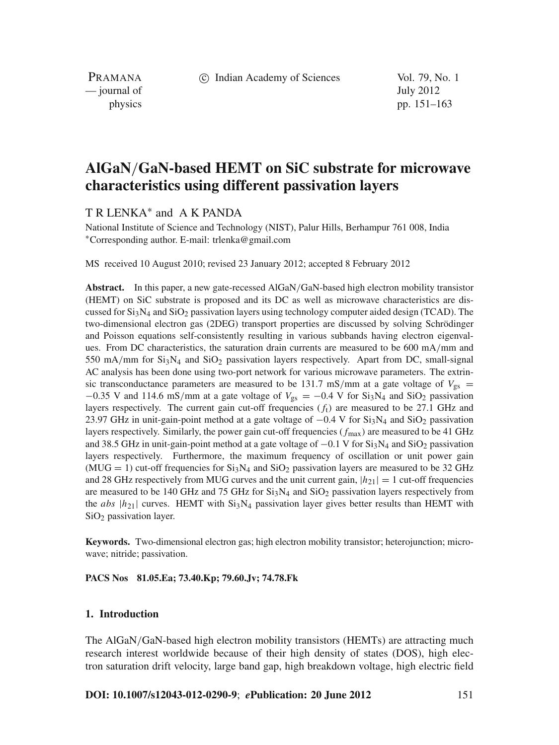c Indian Academy of Sciences Vol. 79, No. 1

PRAMANA — journal of July 2012

physics pp. 151–163

# **AlGaN**/**GaN-based HEMT on SiC substrate for microwave characteristics using different passivation layers**

T R LENKA<sup>∗</sup> and A K PANDA

National Institute of Science and Technology (NIST), Palur Hills, Berhampur 761 008, India <sup>∗</sup>Corresponding author. E-mail: trlenka@gmail.com

MS received 10 August 2010; revised 23 January 2012; accepted 8 February 2012

**Abstract.** In this paper, a new gate-recessed AlGaN/GaN-based high electron mobility transistor (HEMT) on SiC substrate is proposed and its DC as well as microwave characteristics are discussed for  $Si<sub>3</sub>N<sub>4</sub>$  and  $Si<sub>2</sub>$  passivation layers using technology computer aided design (TCAD). The two-dimensional electron gas (2DEG) transport properties are discussed by solving Schrödinger and Poisson equations self-consistently resulting in various subbands having electron eigenvalues. From DC characteristics, the saturation drain currents are measured to be 600 mA/mm and 550 mA/mm for  $Si<sub>3</sub>N<sub>4</sub>$  and  $SiO<sub>2</sub>$  passivation layers respectively. Apart from DC, small-signal AC analysis has been done using two-port network for various microwave parameters. The extrinsic transconductance parameters are measured to be 131.7 mS/mm at a gate voltage of  $V_{gs}$  =  $-0.35$  V and 114.6 mS/mm at a gate voltage of  $V_{gs} = -0.4$  V for Si<sub>3</sub>N<sub>4</sub> and SiO<sub>2</sub> passivation layers respectively. The current gain cut-off frequencies  $(f<sub>t</sub>)$  are measured to be 27.1 GHz and 23.97 GHz in unit-gain-point method at a gate voltage of  $-0.4$  V for Si<sub>3</sub>N<sub>4</sub> and SiO<sub>2</sub> passivation layers respectively. Similarly, the power gain cut-off frequencies ( *f*max) are measured to be 41 GHz and 38.5 GHz in unit-gain-point method at a gate voltage of  $-0.1$  V for Si<sub>3</sub>N<sub>4</sub> and SiO<sub>2</sub> passivation layers respectively. Furthermore, the maximum frequency of oscillation or unit power gain  $(MUG = 1)$  cut-off frequencies for  $Si<sub>3</sub>N<sub>4</sub>$  and  $Si<sub>0</sub>2$  passivation layers are measured to be 32 GHz and 28 GHz respectively from MUG curves and the unit current gain,  $|h_{21}| = 1$  cut-off frequencies are measured to be 140 GHz and 75 GHz for  $Si<sub>3</sub>N<sub>4</sub>$  and  $Si<sub>2</sub>$  passivation layers respectively from the *abs*  $|h_{21}|$  curves. HEMT with Si<sub>3</sub>N<sub>4</sub> passivation layer gives better results than HEMT with SiO<sub>2</sub> passivation layer.

**Keywords.** Two-dimensional electron gas; high electron mobility transistor; heterojunction; microwave; nitride; passivation.

**PACS Nos 81.05.Ea; 73.40.Kp; 79.60.Jv; 74.78.Fk**

### **1. Introduction**

The AlGaN/GaN-based high electron mobility transistors (HEMTs) are attracting much research interest worldwide because of their high density of states (DOS), high electron saturation drift velocity, large band gap, high breakdown voltage, high electric field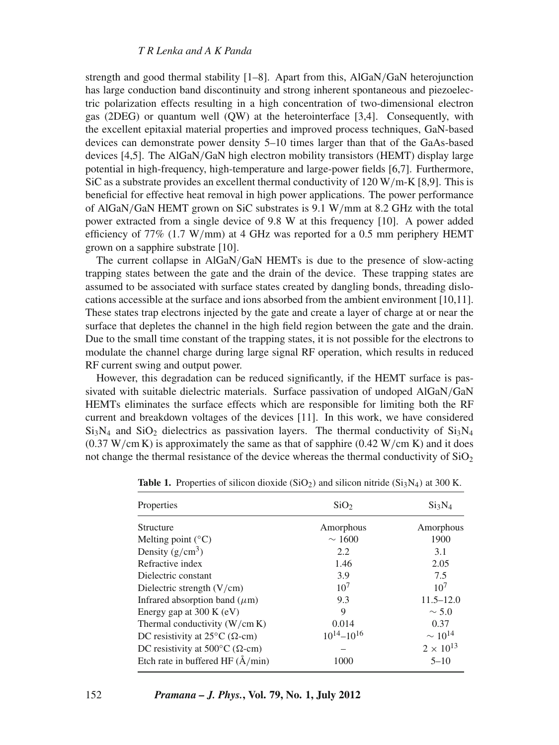#### *T R Lenka and A K Panda*

strength and good thermal stability [1–8]. Apart from this, AlGaN/GaN heterojunction has large conduction band discontinuity and strong inherent spontaneous and piezoelectric polarization effects resulting in a high concentration of two-dimensional electron gas (2DEG) or quantum well (QW) at the heterointerface [3,4]. Consequently, with the excellent epitaxial material properties and improved process techniques, GaN-based devices can demonstrate power density 5–10 times larger than that of the GaAs-based devices [4,5]. The AlGaN/GaN high electron mobility transistors (HEMT) display large potential in high-frequency, high-temperature and large-power fields [6,7]. Furthermore, SiC as a substrate provides an excellent thermal conductivity of 120 W/m-K [8,9]. This is beneficial for effective heat removal in high power applications. The power performance of AlGaN/GaN HEMT grown on SiC substrates is 9.1 W/mm at 8.2 GHz with the total power extracted from a single device of 9.8 W at this frequency [10]. A power added efficiency of 77% (1.7 W/mm) at 4 GHz was reported for a 0.5 mm periphery HEMT grown on a sapphire substrate [10].

The current collapse in AlGaN/GaN HEMTs is due to the presence of slow-acting trapping states between the gate and the drain of the device. These trapping states are assumed to be associated with surface states created by dangling bonds, threading dislocations accessible at the surface and ions absorbed from the ambient environment [10,11]. These states trap electrons injected by the gate and create a layer of charge at or near the surface that depletes the channel in the high field region between the gate and the drain. Due to the small time constant of the trapping states, it is not possible for the electrons to modulate the channel charge during large signal RF operation, which results in reduced RF current swing and output power.

However, this degradation can be reduced significantly, if the HEMT surface is passivated with suitable dielectric materials. Surface passivation of undoped AlGaN/GaN HEMTs eliminates the surface effects which are responsible for limiting both the RF current and breakdown voltages of the devices [11]. In this work, we have considered  $Si<sub>3</sub>N<sub>4</sub>$  and  $Si<sub>2</sub>$  dielectrics as passivation layers. The thermal conductivity of  $Si<sub>3</sub>N<sub>4</sub>$  $(0.37 \text{ W/cm K})$  is approximately the same as that of sapphire  $(0.42 \text{ W/cm K})$  and it does not change the thermal resistance of the device whereas the thermal conductivity of  $SiO<sub>2</sub>$ 

| Properties                                        | SiO <sub>2</sub>    | $Si_3N_4$          |
|---------------------------------------------------|---------------------|--------------------|
| <b>Structure</b>                                  | Amorphous           | Amorphous          |
| Melting point $(^{\circ}C)$                       | $\sim 1600$         | 1900               |
| Density $(g/cm^3)$                                | 2.2                 | 3.1                |
| Refractive index                                  | 1.46                | 2.05               |
| Dielectric constant                               | 3.9                 | 7.5                |
| Dielectric strength $(V/cm)$                      | 10 <sup>7</sup>     | 10 <sup>7</sup>    |
| Infrared absorption band $(\mu m)$                | 9.3                 | $11.5 - 12.0$      |
| Energy gap at $300 \text{ K}$ (eV)                | 9                   | $\sim$ 5.0         |
| Thermal conductivity $(W/cm K)$                   | 0.014               | 0.37               |
| DC resistivity at $25^{\circ}$ C ( $\Omega$ -cm)  | $10^{14} - 10^{16}$ | $\sim 10^{14}$     |
| DC resistivity at $500^{\circ}$ C ( $\Omega$ -cm) |                     | $2 \times 10^{13}$ |
| Etch rate in buffered HF $(\rm \AA/min)$          | 1000                | $5 - 10$           |

**Table 1.** Properties of silicon dioxide (SiO<sub>2</sub>) and silicon nitride (Si<sub>3</sub>N<sub>4</sub>) at 300 K.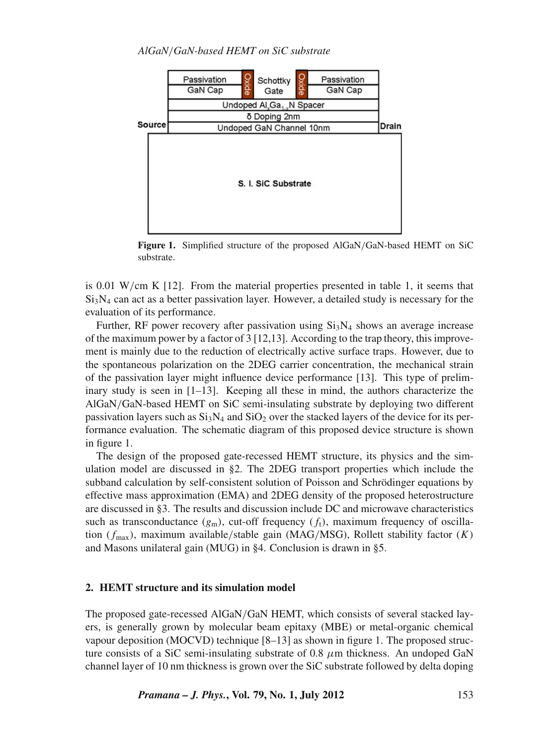

**Figure 1.** Simplified structure of the proposed AlGaN/GaN-based HEMT on SiC substrate.

is 0.01 W/cm K [12]. From the material properties presented in table 1, it seems that  $Si<sub>3</sub>N<sub>4</sub>$  can act as a better passivation layer. However, a detailed study is necessary for the evaluation of its performance.

Further, RF power recovery after passivation using  $Si<sub>3</sub>N<sub>4</sub>$  shows an average increase of the maximum power by a factor of 3 [12,13]. According to the trap theory, this improvement is mainly due to the reduction of electrically active surface traps. However, due to the spontaneous polarization on the 2DEG carrier concentration, the mechanical strain of the passivation layer might influence device performance [13]. This type of preliminary study is seen in  $[1-13]$ . Keeping all these in mind, the authors characterize the AlGaN/GaN-based HEMT on SiC semi-insulating substrate by deploying two different passivation layers such as  $Si<sub>3</sub>N<sub>4</sub>$  and  $Si<sub>2</sub>$  over the stacked layers of the device for its performance evaluation. The schematic diagram of this proposed device structure is shown in figure 1.

The design of the proposed gate-recessed HEMT structure, its physics and the simulation model are discussed in §2. The 2DEG transport properties which include the subband calculation by self-consistent solution of Poisson and Schrödinger equations by effective mass approximation (EMA) and 2DEG density of the proposed heterostructure are discussed in §3. The results and discussion include DC and microwave characteristics such as transconductance  $(g_m)$ , cut-off frequency  $(f_t)$ , maximum frequency of oscillation ( *f*max), maximum available/stable gain (MAG/MSG), Rollett stability factor (*K*) and Masons unilateral gain (MUG) in §4. Conclusion is drawn in §5.

#### **2. HEMT structure and its simulation model**

The proposed gate-recessed AlGaN/GaN HEMT, which consists of several stacked layers, is generally grown by molecular beam epitaxy (MBE) or metal-organic chemical vapour deposition (MOCVD) technique [8–13] as shown in figure 1. The proposed structure consists of a SiC semi-insulating substrate of 0.8  $\mu$ m thickness. An undoped GaN channel layer of 10 nm thickness is grown over the SiC substrate followed by delta doping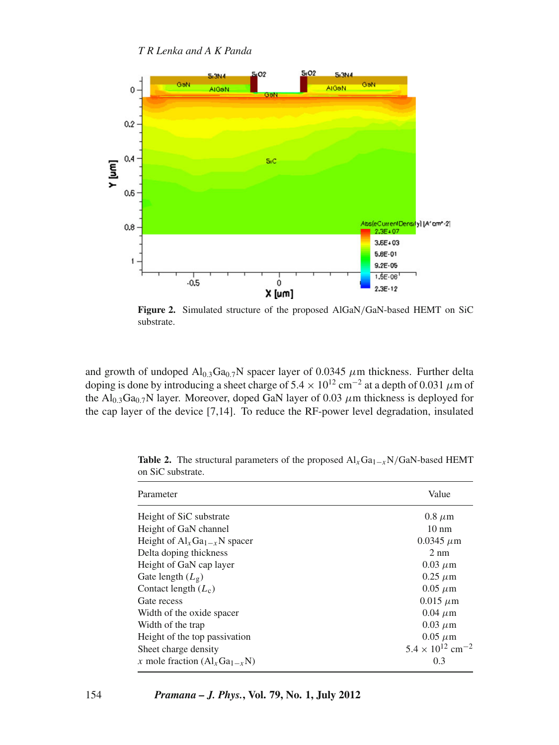

**Figure 2.** Simulated structure of the proposed AlGaN/GaN-based HEMT on SiC substrate.

and growth of undoped  $Al_{0.3}Ga_{0.7}N$  spacer layer of 0.0345  $\mu$ m thickness. Further delta doping is done by introducing a sheet charge of  $5.4 \times 10^{12}$  cm<sup>-2</sup> at a depth of 0.031 µm of the  $Al_{0.3}Ga_{0.7}N$  layer. Moreover, doped GaN layer of 0.03  $\mu$ m thickness is deployed for the cap layer of the device [7,14]. To reduce the RF-power level degradation, insulated

| Parameter                         | Value                                 |
|-----------------------------------|---------------------------------------|
| Height of SiC substrate           | $0.8 \mu m$                           |
| Height of GaN channel             | $10 \text{ nm}$                       |
| Height of $Al_xGa_{1-x}N$ spacer  | $0.0345 \mu m$                        |
| Delta doping thickness            | $2 \text{ nm}$                        |
| Height of GaN cap layer           | $0.03 \mu m$                          |
| Gate length $(L_{\varrho})$       | $0.25 \mu m$                          |
| Contact length $(L_c)$            | $0.05 \mu m$                          |
| Gate recess                       | $0.015 \mu m$                         |
| Width of the oxide spacer         | $0.04 \mu m$                          |
| Width of the trap                 | $0.03 \mu m$                          |
| Height of the top passivation     | $0.05 \mu m$                          |
| Sheet charge density              | $5.4 \times 10^{12}$ cm <sup>-2</sup> |
| x mole fraction $(Al_xGa_{1-x}N)$ | 0.3                                   |

**Table 2.** The structural parameters of the proposed  $AI_xGa_{1-x}N/GaN$ -based HEMT on SiC substrate.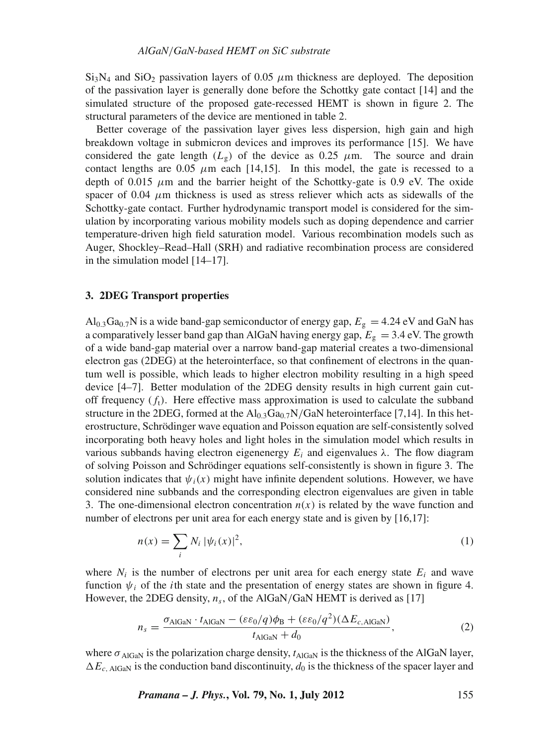$Si<sub>3</sub>N<sub>4</sub>$  and  $SiO<sub>2</sub>$  passivation layers of 0.05  $\mu$ m thickness are deployed. The deposition of the passivation layer is generally done before the Schottky gate contact [14] and the simulated structure of the proposed gate-recessed HEMT is shown in figure 2. The structural parameters of the device are mentioned in table 2.

Better coverage of the passivation layer gives less dispersion, high gain and high breakdown voltage in submicron devices and improves its performance [15]. We have considered the gate length  $(L<sub>g</sub>)$  of the device as 0.25  $\mu$ m. The source and drain contact lengths are 0.05  $\mu$ m each [14,15]. In this model, the gate is recessed to a depth of 0.015  $\mu$ m and the barrier height of the Schottky-gate is 0.9 eV. The oxide spacer of 0.04  $\mu$ m thickness is used as stress reliever which acts as sidewalls of the Schottky-gate contact. Further hydrodynamic transport model is considered for the simulation by incorporating various mobility models such as doping dependence and carrier temperature-driven high field saturation model. Various recombination models such as Auger, Shockley–Read–Hall (SRH) and radiative recombination process are considered in the simulation model [14–17].

#### **3. 2DEG Transport properties**

 $\text{Al}_{0.3}\text{Ga}_{0.7}\text{N}$  is a wide band-gap semiconductor of energy gap,  $E_{\text{g}} = 4.24 \text{ eV}$  and GaN has a comparatively lesser band gap than AlGaN having energy gap,  $E_g = 3.4$  eV. The growth of a wide band-gap material over a narrow band-gap material creates a two-dimensional electron gas (2DEG) at the heterointerface, so that confinement of electrons in the quantum well is possible, which leads to higher electron mobility resulting in a high speed device [4–7]. Better modulation of the 2DEG density results in high current gain cutoff frequency  $(f_t)$ . Here effective mass approximation is used to calculate the subband structure in the 2DEG, formed at the  $Al<sub>0.3</sub>Ga<sub>0.7</sub>N/GaN$  heterointerface [7,14]. In this heterostructure, Schrödinger wave equation and Poisson equation are self-consistently solved incorporating both heavy holes and light holes in the simulation model which results in various subbands having electron eigenenergy *Ei* and eigenvalues λ. The flow diagram of solving Poisson and Schrödinger equations self-consistently is shown in figure 3. The solution indicates that  $\psi_i(x)$  might have infinite dependent solutions. However, we have considered nine subbands and the corresponding electron eigenvalues are given in table 3. The one-dimensional electron concentration  $n(x)$  is related by the wave function and number of electrons per unit area for each energy state and is given by [16,17]:

$$
n(x) = \sum_{i} N_i |\psi_i(x)|^2,
$$
 (1)

where  $N_i$  is the number of electrons per unit area for each energy state  $E_i$  and wave function  $\psi_i$  of the *i*th state and the presentation of energy states are shown in figure 4. However, the 2DEG density,  $n_s$ , of the AlGaN/GaN HEMT is derived as [17]

$$
n_s = \frac{\sigma_{\text{AlGaN}} \cdot t_{\text{AlGaN}} - (\varepsilon \varepsilon_0 / q) \phi_{\text{B}} + (\varepsilon \varepsilon_0 / q^2) (\Delta E_{c,\text{AlGaN}})}{t_{\text{AlGaN}} + d_0},\tag{2}
$$

where  $\sigma_{\text{AlGaN}}$  is the polarization charge density,  $t_{\text{AlGaN}}$  is the thickness of the AlGaN layer,  $\Delta E_{c, \text{AlGar}}$  is the conduction band discontinuity,  $d_0$  is the thickness of the spacer layer and

*Pramana – J. Phys.***, Vol. 79, No. 1, July 2012** 155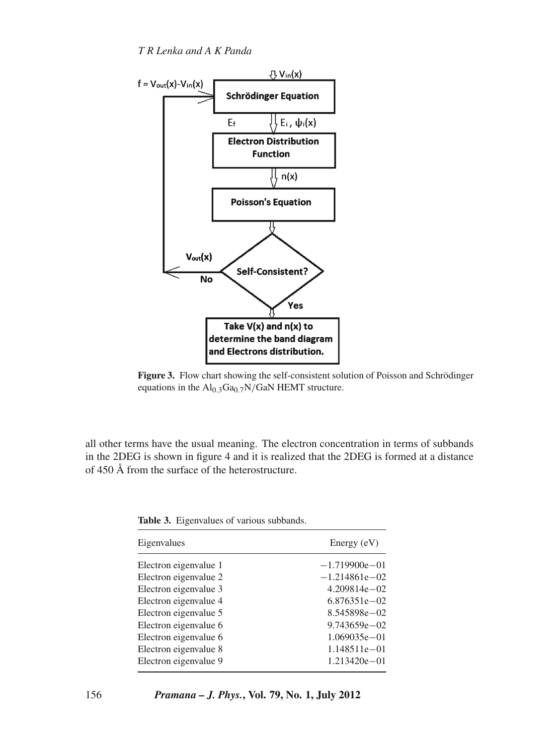

**Figure 3.** Flow chart showing the self-consistent solution of Poisson and Schrödinger equations in the  $Al<sub>0.3</sub>Ga<sub>0.7</sub>N/GaN HEMT structure.$ 

all other terms have the usual meaning. The electron concentration in terms of subbands in the 2DEG is shown in figure 4 and it is realized that the 2DEG is formed at a distance of 450 Å from the surface of the heterostructure.

|  | <b>Table 3.</b> Eigenvalues of various subbands. |  |  |
|--|--------------------------------------------------|--|--|
|--|--------------------------------------------------|--|--|

| Eigenvalues           | Energy $(eV)$     |
|-----------------------|-------------------|
| Electron eigenvalue 1 | $-1.719900e - 01$ |
| Electron eigenvalue 2 | $-1.214861e - 02$ |
| Electron eigenvalue 3 | $4.209814e - 02$  |
| Electron eigenvalue 4 | $6.876351e - 02$  |
| Electron eigenvalue 5 | 8.545898e-02      |
| Electron eigenvalue 6 | $9.743659e - 02$  |
| Electron eigenvalue 6 | $1.069035e - 01$  |
| Electron eigenvalue 8 | $1.148511e - 01$  |
| Electron eigenvalue 9 | $1.213420e - 01$  |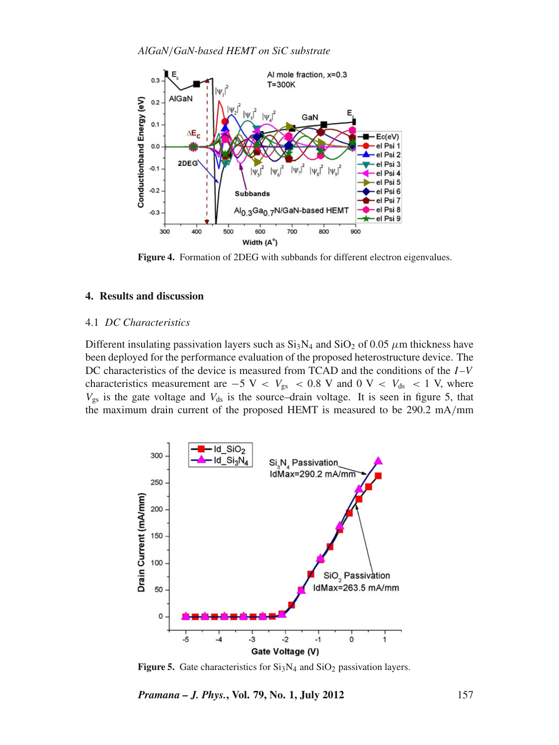

**Figure 4.** Formation of 2DEG with subbands for different electron eigenvalues.

# **4. Results and discussion**

### 4.1 *DC Characteristics*

Different insulating passivation layers such as  $Si<sub>3</sub>N<sub>4</sub>$  and  $SiO<sub>2</sub>$  of 0.05  $\mu$ m thickness have been deployed for the performance evaluation of the proposed heterostructure device. The DC characteristics of the device is measured from TCAD and the conditions of the *I* –*V* characteristics measurement are  $-5$  V <  $V_{gs}$  < 0.8 V and 0 V <  $V_{ds}$  < 1 V, where  $V_{gs}$  is the gate voltage and  $V_{ds}$  is the source–drain voltage. It is seen in figure 5, that the maximum drain current of the proposed HEMT is measured to be 290.2 mA/mm



**Figure 5.** Gate characteristics for  $Si<sub>3</sub>N<sub>4</sub>$  and  $SiO<sub>2</sub>$  passivation layers.

*Pramana – J. Phys.***, Vol. 79, No. 1, July 2012** 157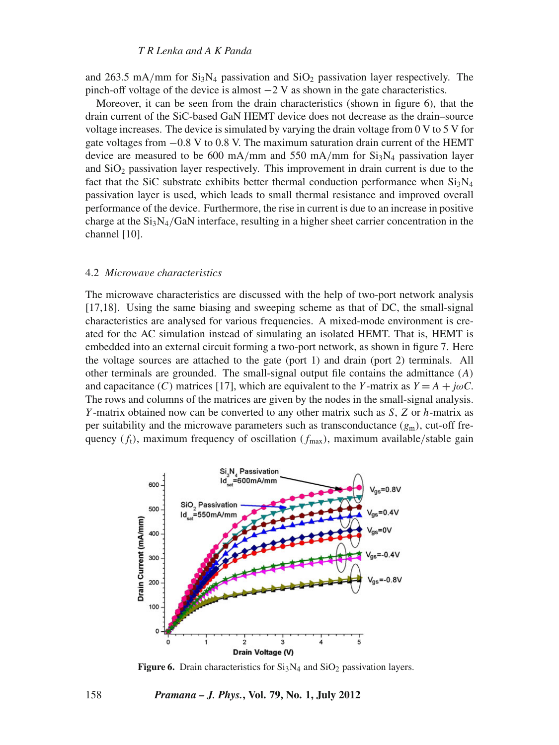#### *T R Lenka and A K Panda*

and 263.5 mA/mm for  $Si<sub>3</sub>N<sub>4</sub>$  passivation and  $SiO<sub>2</sub>$  passivation layer respectively. The pinch-off voltage of the device is almost  $-2$  V as shown in the gate characteristics.

Moreover, it can be seen from the drain characteristics (shown in figure 6), that the drain current of the SiC-based GaN HEMT device does not decrease as the drain–source voltage increases. The device is simulated by varying the drain voltage from 0 V to 5 V for gate voltages from  $-0.8$  V to 0.8 V. The maximum saturation drain current of the HEMT device are measured to be 600 mA/mm and 550 mA/mm for  $Si<sub>3</sub>N<sub>4</sub>$  passivation layer and  $SiO<sub>2</sub>$  passivation layer respectively. This improvement in drain current is due to the fact that the SiC substrate exhibits better thermal conduction performance when  $Si_3N_4$ passivation layer is used, which leads to small thermal resistance and improved overall performance of the device. Furthermore, the rise in current is due to an increase in positive charge at the  $Si<sub>3</sub>N<sub>4</sub>/GaN$  interface, resulting in a higher sheet carrier concentration in the channel [10].

#### 4.2 *Microwa*v*e characteristics*

The microwave characteristics are discussed with the help of two-port network analysis [17,18]. Using the same biasing and sweeping scheme as that of DC, the small-signal characteristics are analysed for various frequencies. A mixed-mode environment is created for the AC simulation instead of simulating an isolated HEMT. That is, HEMT is embedded into an external circuit forming a two-port network, as shown in figure 7. Here the voltage sources are attached to the gate (port 1) and drain (port 2) terminals. All other terminals are grounded. The small-signal output file contains the admittance (*A*) and capacitance (*C*) matrices [17], which are equivalent to the *Y*-matrix as  $Y = A + j\omega C$ . The rows and columns of the matrices are given by the nodes in the small-signal analysis. *Y* -matrix obtained now can be converted to any other matrix such as *S*, *Z* or *h*-matrix as per suitability and the microwave parameters such as transconductance  $(g_m)$ , cut-off frequency  $(f_t)$ , maximum frequency of oscillation  $(f_{\text{max}})$ , maximum available/stable gain



**Figure 6.** Drain characteristics for  $Si<sub>3</sub>N<sub>4</sub>$  and  $SiO<sub>2</sub>$  passivation layers.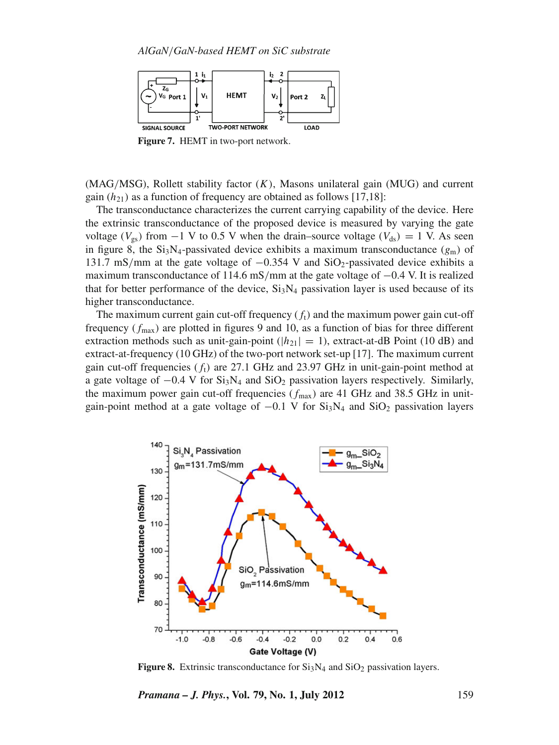

**Figure 7.** HEMT in two-port network.

(MAG/MSG), Rollett stability factor (*K*), Masons unilateral gain (MUG) and current gain  $(h_{21})$  as a function of frequency are obtained as follows [17,18]:

The transconductance characterizes the current carrying capability of the device. Here the extrinsic transconductance of the proposed device is measured by varying the gate voltage ( $V_{gs}$ ) from −1 V to 0.5 V when the drain–source voltage ( $V_{ds}$ ) = 1 V. As seen in figure 8, the  $Si_3N_4$ -passivated device exhibits a maximum transconductance  $(g_m)$  of 131.7 mS/mm at the gate voltage of  $-0.354$  V and SiO<sub>2</sub>-passivated device exhibits a maximum transconductance of 114.6 mS/mm at the gate voltage of −0.4 V. It is realized that for better performance of the device,  $Si<sub>3</sub>N<sub>4</sub>$  passivation layer is used because of its higher transconductance.

The maximum current gain cut-off frequency  $(f_t)$  and the maximum power gain cut-off frequency  $(f_{\text{max}})$  are plotted in figures 9 and 10, as a function of bias for three different extraction methods such as unit-gain-point ( $|h_{21}| = 1$ ), extract-at-dB Point (10 dB) and extract-at-frequency (10 GHz) of the two-port network set-up [17]. The maximum current gain cut-off frequencies  $(f_t)$  are 27.1 GHz and 23.97 GHz in unit-gain-point method at a gate voltage of  $-0.4$  V for  $Si<sub>3</sub>N<sub>4</sub>$  and  $SiO<sub>2</sub>$  passivation layers respectively. Similarly, the maximum power gain cut-off frequencies  $(f_{\text{max}})$  are 41 GHz and 38.5 GHz in unitgain-point method at a gate voltage of  $-0.1$  V for Si<sub>3</sub>N<sub>4</sub> and SiO<sub>2</sub> passivation layers



**Figure 8.** Extrinsic transconductance for  $Si<sub>3</sub>N<sub>4</sub>$  and  $SiO<sub>2</sub>$  passivation layers.

*Pramana – J. Phys.***, Vol. 79, No. 1, July 2012** 159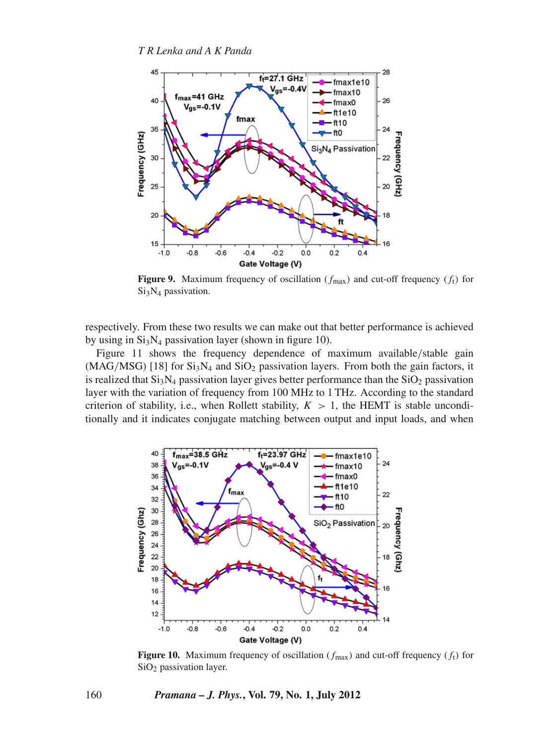

**Figure 9.** Maximum frequency of oscillation  $(f_{\text{max}})$  and cut-off frequency  $(f_t)$  for Si<sub>3</sub>N<sub>4</sub> passivation.

respectively. From these two results we can make out that better performance is achieved by using in  $Si<sub>3</sub>N<sub>4</sub>$  passivation layer (shown in figure 10).

Figure 11 shows the frequency dependence of maximum available/stable gain  $(MAG/MSG)$  [18] for  $Si<sub>3</sub>N<sub>4</sub>$  and  $SiO<sub>2</sub>$  passivation layers. From both the gain factors, it is realized that  $Si<sub>3</sub>N<sub>4</sub>$  passivation layer gives better performance than the  $SiO<sub>2</sub>$  passivation layer with the variation of frequency from 100 MHz to 1 THz. According to the standard criterion of stability, i.e., when Rollett stability,  $K > 1$ , the HEMT is stable unconditionally and it indicates conjugate matching between output and input loads, and when



**Figure 10.** Maximum frequency of oscillation  $(f_{\text{max}})$  and cut-off frequency  $(f_t)$  for SiO<sub>2</sub> passivation layer.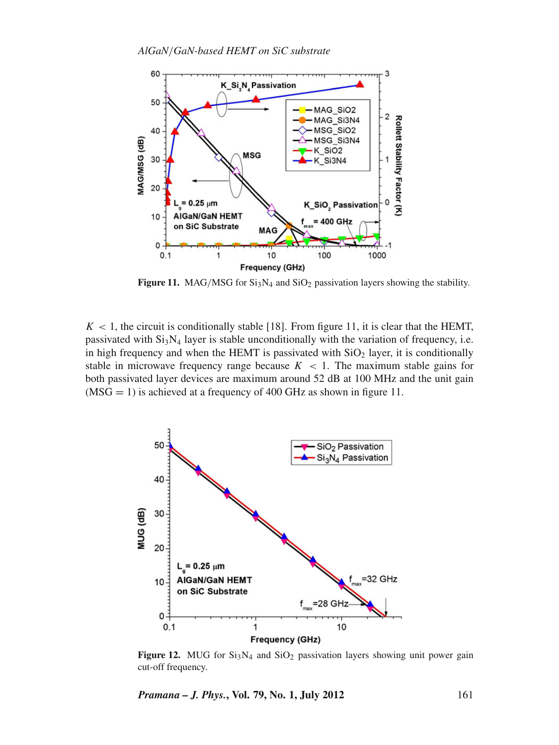

**Figure 11.** MAG/MSG for  $Si<sub>3</sub>N<sub>4</sub>$  and  $SiO<sub>2</sub>$  passivation layers showing the stability.

 $K < 1$ , the circuit is conditionally stable [18]. From figure 11, it is clear that the HEMT, passivated with  $Si_3N_4$  layer is stable unconditionally with the variation of frequency, i.e. in high frequency and when the HEMT is passivated with  $SiO<sub>2</sub>$  layer, it is conditionally stable in microwave frequency range because  $K < 1$ . The maximum stable gains for both passivated layer devices are maximum around 52 dB at 100 MHz and the unit gain  $(MSG = 1)$  is achieved at a frequency of 400 GHz as shown in figure 11.



**Figure 12.** MUG for  $Si<sub>3</sub>N<sub>4</sub>$  and  $SiO<sub>2</sub>$  passivation layers showing unit power gain cut-off frequency.

*Pramana – J. Phys.***, Vol. 79, No. 1, July 2012** 161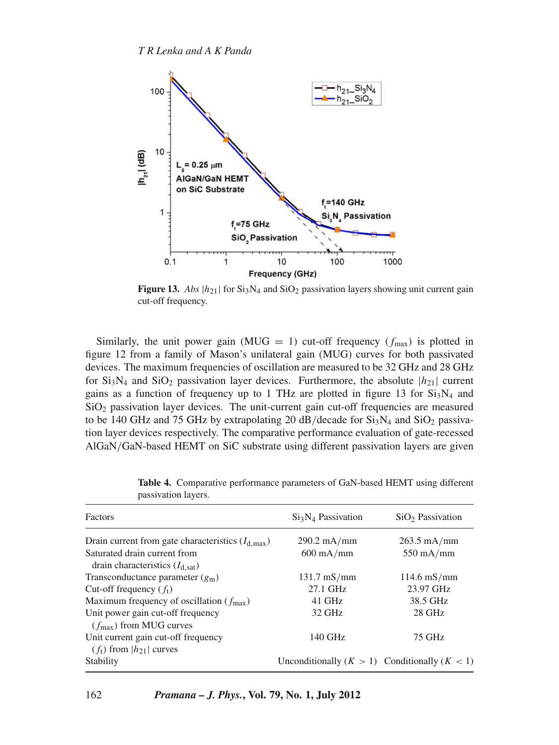

**Figure 13.** *Abs*  $|h_{21}|$  for  $Si_3N_4$  and  $SiO_2$  passivation layers showing unit current gain cut-off frequency.

Similarly, the unit power gain (MUG = 1) cut-off frequency ( $f_{\text{max}}$ ) is plotted in figure 12 from a family of Mason's unilateral gain (MUG) curves for both passivated devices. The maximum frequencies of oscillation are measured to be 32 GHz and 28 GHz for  $Si<sub>3</sub>N<sub>4</sub>$  and  $SiO<sub>2</sub>$  passivation layer devices. Furthermore, the absolute  $|h<sub>21</sub>|$  current gains as a function of frequency up to 1 THz are plotted in figure 13 for  $Si<sub>3</sub>N<sub>4</sub>$  and  $SiO<sub>2</sub>$  passivation layer devices. The unit-current gain cut-off frequencies are measured to be 140 GHz and 75 GHz by extrapolating 20 dB/decade for  $Si<sub>3</sub>N<sub>4</sub>$  and  $SiO<sub>2</sub>$  passivation layer devices respectively. The comparative performance evaluation of gate-recessed AlGaN/GaN-based HEMT on SiC substrate using different passivation layers are given

| Factors                                               | $Si3N4$ Passivation                               | $SiO2$ Passivation    |
|-------------------------------------------------------|---------------------------------------------------|-----------------------|
| Drain current from gate characteristics $(I_{d max})$ | $290.2 \text{ mA/mm}$                             | $263.5$ mA/mm         |
| Saturated drain current from                          | $600 \text{ mA/mm}$                               | $550 \text{ mA/mm}$   |
| drain characteristics $(I_{d, sat})$                  |                                                   |                       |
| Transconductance parameter $(g_m)$                    | $131.7 \text{ mS/mm}$                             | $114.6 \text{ mS/mm}$ |
| Cut-off frequency $(f_t)$                             | 27.1 GHz                                          | 23.97 GHz             |
| Maximum frequency of oscillation ( $f_{\text{max}}$ ) | $41$ GHz                                          | 38.5 GHz              |
| Unit power gain cut-off frequency                     | 32 GHz                                            | 28 GHz                |
| $(f_{\text{max}})$ from MUG curves                    |                                                   |                       |
| Unit current gain cut-off frequency                   | 140 GHz                                           | 75 GHz                |
| $(f_t)$ from $ h_{21} $ curves                        |                                                   |                       |
| Stability                                             | Unconditionally $(K > 1)$ Conditionally $(K < 1)$ |                       |

**Table 4.** Comparative performance parameters of GaN-based HEMT using different passivation layers.